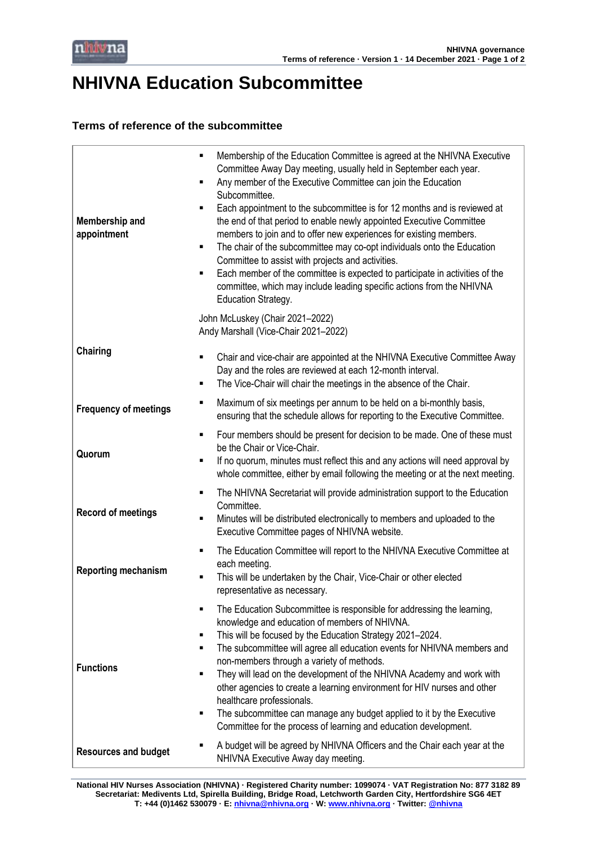

## **NHIVNA Education Subcommittee**

## **Terms of reference of the subcommittee**

| Membership and<br>appointment | Membership of the Education Committee is agreed at the NHIVNA Executive<br>٠<br>Committee Away Day meeting, usually held in September each year.<br>Any member of the Executive Committee can join the Education<br>٠<br>Subcommittee.<br>Each appointment to the subcommittee is for 12 months and is reviewed at<br>п<br>the end of that period to enable newly appointed Executive Committee<br>members to join and to offer new experiences for existing members.<br>The chair of the subcommittee may co-opt individuals onto the Education<br>٠<br>Committee to assist with projects and activities.<br>Each member of the committee is expected to participate in activities of the<br>٠<br>committee, which may include leading specific actions from the NHIVNA<br>Education Strategy. |
|-------------------------------|-------------------------------------------------------------------------------------------------------------------------------------------------------------------------------------------------------------------------------------------------------------------------------------------------------------------------------------------------------------------------------------------------------------------------------------------------------------------------------------------------------------------------------------------------------------------------------------------------------------------------------------------------------------------------------------------------------------------------------------------------------------------------------------------------|
|                               | John McLuskey (Chair 2021-2022)<br>Andy Marshall (Vice-Chair 2021-2022)                                                                                                                                                                                                                                                                                                                                                                                                                                                                                                                                                                                                                                                                                                                         |
| Chairing                      | Chair and vice-chair are appointed at the NHIVNA Executive Committee Away<br>п<br>Day and the roles are reviewed at each 12-month interval.<br>The Vice-Chair will chair the meetings in the absence of the Chair.<br>٠                                                                                                                                                                                                                                                                                                                                                                                                                                                                                                                                                                         |
| <b>Frequency of meetings</b>  | Maximum of six meetings per annum to be held on a bi-monthly basis,<br>п<br>ensuring that the schedule allows for reporting to the Executive Committee.                                                                                                                                                                                                                                                                                                                                                                                                                                                                                                                                                                                                                                         |
| Quorum                        | Four members should be present for decision to be made. One of these must<br>٠<br>be the Chair or Vice-Chair.<br>If no quorum, minutes must reflect this and any actions will need approval by<br>п<br>whole committee, either by email following the meeting or at the next meeting.                                                                                                                                                                                                                                                                                                                                                                                                                                                                                                           |
| <b>Record of meetings</b>     | The NHIVNA Secretariat will provide administration support to the Education<br>п<br>Committee.<br>Minutes will be distributed electronically to members and uploaded to the<br>п<br>Executive Committee pages of NHIVNA website.                                                                                                                                                                                                                                                                                                                                                                                                                                                                                                                                                                |
| <b>Reporting mechanism</b>    | The Education Committee will report to the NHIVNA Executive Committee at<br>п<br>each meeting.<br>This will be undertaken by the Chair, Vice-Chair or other elected<br>п<br>representative as necessary.                                                                                                                                                                                                                                                                                                                                                                                                                                                                                                                                                                                        |
| <b>Functions</b>              | The Education Subcommittee is responsible for addressing the learning,<br>٠<br>knowledge and education of members of NHIVNA.<br>This will be focused by the Education Strategy 2021-2024.<br>The subcommittee will agree all education events for NHIVNA members and<br>■<br>non-members through a variety of methods.<br>They will lead on the development of the NHIVNA Academy and work with<br>other agencies to create a learning environment for HIV nurses and other<br>healthcare professionals.<br>The subcommittee can manage any budget applied to it by the Executive<br>п<br>Committee for the process of learning and education development.                                                                                                                                      |
| <b>Resources and budget</b>   | A budget will be agreed by NHIVNA Officers and the Chair each year at the<br>NHIVNA Executive Away day meeting.                                                                                                                                                                                                                                                                                                                                                                                                                                                                                                                                                                                                                                                                                 |

**National HIV Nurses Association (NHIVNA) · Registered Charity number: 1099074 · VAT Registration No: 877 3182 89 Secretariat: Medivents Ltd, Spirella Building, Bridge Road, Letchworth Garden City, Hertfordshire SG6 4ET T: +44 (0)1462 530079 · E[: nhivna@nhivna.org](mailto:nhivna@nhivna.org) · W[: www.nhivna.org](http://www.nhivna.org/) · Twitter[: @nhivna](https://twitter.com/NHIVNA)**